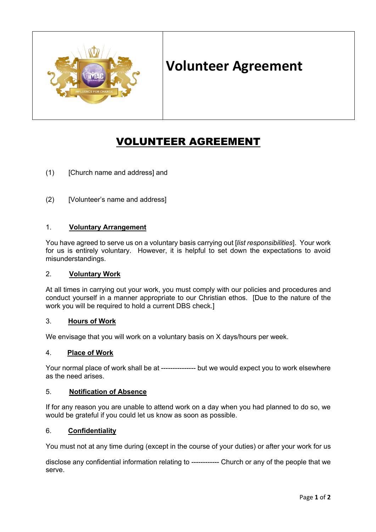

# **Volunteer Agreement**

# VOLUNTEER AGREEMENT

- (1) [Church name and address] and
- (2) [Volunteer's name and address]

## 1. **Voluntary Arrangement**

You have agreed to serve us on a voluntary basis carrying out [*list responsibilities*]. Your work for us is entirely voluntary. However, it is helpful to set down the expectations to avoid misunderstandings.

#### 2. **Voluntary Work**

At all times in carrying out your work, you must comply with our policies and procedures and conduct yourself in a manner appropriate to our Christian ethos. [Due to the nature of the work you will be required to hold a current DBS check.]

#### 3. **Hours of Work**

We envisage that you will work on a voluntary basis on X days/hours per week.

#### 4. **Place of Work**

Your normal place of work shall be at --------------- but we would expect you to work elsewhere as the need arises.

#### 5. **Notification of Absence**

If for any reason you are unable to attend work on a day when you had planned to do so, we would be grateful if you could let us know as soon as possible.

## 6. **Confidentiality**

You must not at any time during (except in the course of your duties) or after your work for us

disclose any confidential information relating to ------------ Church or any of the people that we serve.